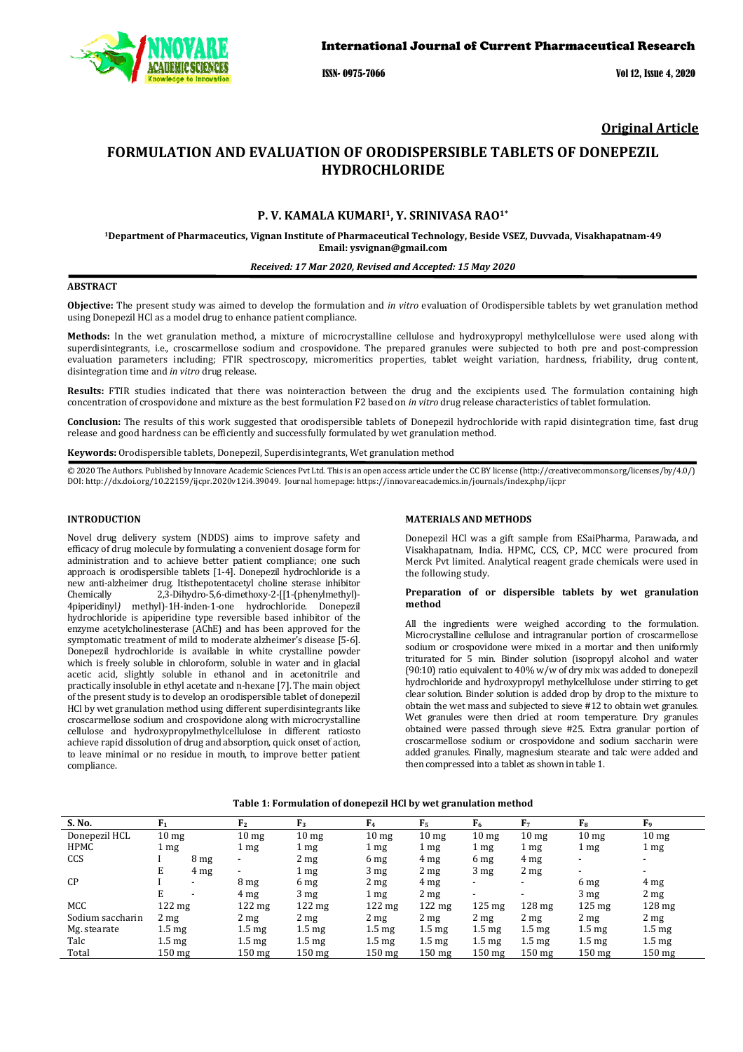

ISSN- 0975-7066 Vol 12, Issue 4, 2020

# **Original Article**

# **FORMULATION AND EVALUATION OF ORODISPERSIBLE TABLETS OF DONEPEZIL HYDROCHLORIDE**

# **P. V. KAMALA KUMARI1, Y. SRINIVASA RAO1\***

**<sup>1</sup>Department of Pharmaceutics, Vignan Institute of Pharmaceutical Technology, Beside VSEZ, Duvvada, Visakhapatnam-49 Email: ysvignan@gmail.com** 

### *Received: 17 Mar 2020, Revised and Accepted: 15 May 2020*

# **ABSTRACT**

**Objective:** The present study was aimed to develop the formulation and *in vitro* evaluation of Orodispersible tablets by wet granulation method using Donepezil HCl as a model drug to enhance patient compliance.

**Methods:** In the wet granulation method, a mixture of microcrystalline cellulose and hydroxypropyl methylcellulose were used along with superdisintegrants, i.e., croscarmellose sodium and crospovidone. The prepared granules were subjected to both pre and post-compression evaluation parameters including; FTIR spectroscopy, micromeritics properties, tablet weight variation, hardness, friability, drug content, disintegration time and *in vitro* drug release.

**Results:** FTIR studies indicated that there was nointeraction between the drug and the excipients used. The formulation containing high concentration of crospovidone and mixture as the best formulation F2 based on *in vitro* drug release characteristics of tablet formulation.

**Conclusion:** The results of this work suggested that orodispersible tablets of Donepezil hydrochloride with rapid disintegration time, fast drug release and good hardness can be efficiently and successfully formulated by wet granulation method.

**Keywords:** Orodispersible tablets, Donepezil, Superdisintegrants, Wet granulation method

© 2020 The Authors. Published by Innovare Academic Sciences Pvt Ltd. This is an open access article under the CC BY license (http://creativecommons.org/licenses/by/4.0/) DOI: http://dx.doi.org/10.22159/ijcpr.2020v12i4.39049. Journal homepage: https://innovareacademics.in/journals/index.php/ijcpr

# **INTRODUCTION**

Novel drug delivery system (NDDS) aims to improve safety and efficacy of drug molecule by formulating a convenient dosage form for administration and to achieve better patient compliance; one such approach is orodispersible tablets [1-4]. Donepezil hydrochloride is a new anti-alzheimer drug. Itisthepotentacetyl choline sterase inhibitor Chemically 2,3-Dihydro-5,6-dimethoxy-2-[[1-(phenylmethyl)- 4piperidinyl*)* methyl)-1H-inden-1-one hydrochloride. Donepezil hydrochloride is apiperidine type reversible based inhibitor of the enzyme acetylcholinesterase (AChE) and has been approved for the symptomatic treatment of mild to moderate alzheimer's disease [5-6]. Donepezil hydrochloride is available in white crystalline powder which is freely soluble in chloroform, soluble in water and in glacial acetic acid, slightly soluble in ethanol and in acetonitrile and practically insoluble in ethyl acetate and n-hexane [7]. The main object of the present study is to develop an orodispersible tablet of donepezil HCl by wet granulation method using different superdisintegrants like croscarmellose sodium and crospovidone along with microcrystalline cellulose and hydroxypropylmethylcellulose in different ratiosto achieve rapid dissolution of drug and absorption, quick onset of action, to leave minimal or no residue in mouth, to improve better patient compliance.

### **MATERIALS AND METHODS**

Donepezil HCl was a gift sample from ESaiPharma, Parawada, and Visakhapatnam, India. HPMC, CCS, CP, MCC were procured from Merck Pvt limited. Analytical reagent grade chemicals were used in the following study.

# **Preparation of or dispersible tablets by wet granulation method**

All the ingredients were weighed according to the formulation. Microcrystalline cellulose and intragranular portion of croscarmellose sodium or crospovidone were mixed in a mortar and then uniformly triturated for 5 min. Binder solution (isopropyl alcohol and water (90:10) ratio equivalent to 40% w/w of dry mix was added to donepezil hydrochloride and hydroxypropyl methylcellulose under stirring to get clear solution. Binder solution is added drop by drop to the mixture to obtain the wet mass and subjected to sieve #12 to obtain wet granules. Wet granules were then dried at room temperature. Dry granules obtained were passed through sieve #25. Extra granular portion of croscarmellose sodium or crospovidone and sodium saccharin were added granules. Finally, magnesium stearate and talc were added and then compressed into a tablet as shown in table 1.

| S. No.           | F <sub>1</sub>   |                          | F <sub>2</sub>           | F <sub>3</sub>   | F <sub>4</sub>   | F <sub>5</sub>   | F <sub>6</sub>           | F <sub>7</sub>           | $F_8$                    | F <sub>9</sub>           |
|------------------|------------------|--------------------------|--------------------------|------------------|------------------|------------------|--------------------------|--------------------------|--------------------------|--------------------------|
| Donepezil HCL    | 10 <sub>mg</sub> |                          | 10 <sub>mg</sub>         | 10 <sub>mg</sub> | 10 <sub>mg</sub> | 10 <sub>mg</sub> | 10 <sub>mg</sub>         | 10 <sub>mg</sub>         | 10 <sub>mg</sub>         | 10 <sub>mg</sub>         |
| HPMC             | $1 \text{ mg}$   |                          | $1 \text{ mg}$           | 1 mg             | 1 mg             | 1 <sub>mg</sub>  | 1 mg                     | $1 \text{ mg}$           | $1 \text{ mg}$           | $1 \text{ mg}$           |
| <b>CCS</b>       |                  | 8 <sub>mg</sub>          | $\overline{\phantom{a}}$ | 2 <sub>mg</sub>  | 6 mg             | 4 <sub>mg</sub>  | 6 mg                     | 4 <sub>mg</sub>          | $\overline{\phantom{a}}$ | $\overline{\phantom{a}}$ |
|                  | E                | 4 <sub>mg</sub>          | $\overline{\phantom{a}}$ | $1 \text{ mg}$   | 3 <sub>mg</sub>  | $2 \text{ mg}$   | 3 <sub>mg</sub>          | 2 <sub>mg</sub>          | $\overline{\phantom{0}}$ | $\overline{\phantom{0}}$ |
| CP               |                  | $\overline{\phantom{0}}$ | 8 <sub>mg</sub>          | 6 mg             | 2 <sub>mg</sub>  | 4 mg             | $\overline{\phantom{a}}$ | $\overline{\phantom{a}}$ | 6 mg                     | 4 mg                     |
|                  | E                | $\overline{\phantom{0}}$ | $4 \text{ mg}$           | 3 <sub>mg</sub>  | $1 \text{ mg}$   | 2 <sub>mg</sub>  | $\overline{\phantom{a}}$ | $\overline{\phantom{a}}$ | 3 <sub>mg</sub>          | $2 \text{ mg}$           |
| <b>MCC</b>       | $122 \text{ mg}$ |                          | $122 \text{ mg}$         | $122$ mg         | $122 \text{ mg}$ | $122 \text{ mg}$ | $125 \text{ mg}$         | $128 \text{ mg}$         | $125 \text{ mg}$         | $128 \text{ mg}$         |
| Sodium saccharin | $2 \text{ mg}$   |                          | 2 <sub>mg</sub>          | 2 <sub>mg</sub>  | 2 <sub>mg</sub>  | 2 <sub>mg</sub>  | 2 <sub>mg</sub>          | 2 <sub>mg</sub>          | $2 \text{ mg}$           | $2 \text{ mg}$           |
| Mg. stearate     | $1.5 \text{ mg}$ |                          | $1.5 \text{ mg}$         | $1.5 \text{ mg}$ | $1.5 \text{ mg}$ | $1.5 \text{ mg}$ | $1.5 \text{ mg}$         | $1.5 \text{ mg}$         | $1.5 \text{ mg}$         | $1.5 \text{ mg}$         |
| Talc             | $1.5 \text{ mg}$ |                          | $1.5 \text{ mg}$         | $1.5 \text{ mg}$ | $1.5 \text{ mg}$ | $1.5 \text{ mg}$ | $1.5 \text{ mg}$         | $1.5 \text{ mg}$         | $1.5 \text{ mg}$         | $1.5 \text{ mg}$         |
| Total            | 150 mg           |                          | $150 \text{ mg}$         | $150$ mg         | $150$ mg         | $150$ mg         | $150$ mg                 | $150 \text{ mg}$         | $150 \text{ mg}$         | $150 \text{ mg}$         |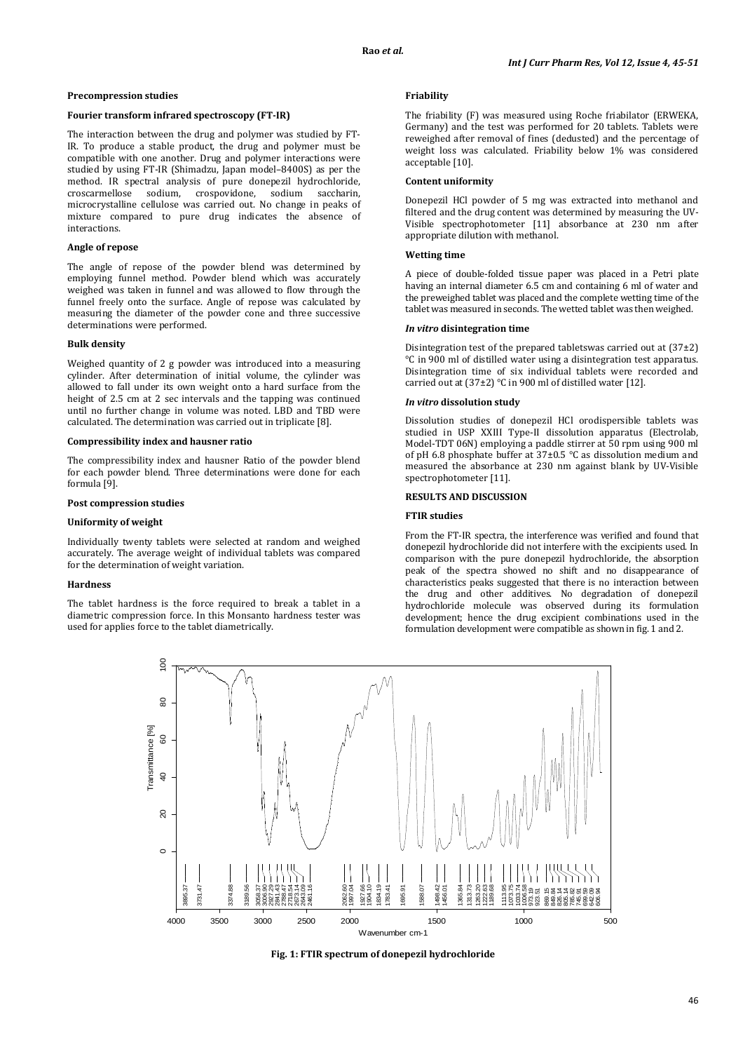### **Precompression studies**

## **Fourier transform infrared spectroscopy (FT-IR)**

The interaction between the drug and polymer was studied by FT-IR. To produce a stable product, the drug and polymer must be compatible with one another. Drug and polymer interactions were studied by using FT-IR (Shimadzu, Japan model–8400S) as per the method. IR spectral analysis of pure donepezil hydrochloride, croscarmellose sodium, crospovidone, sodium saccharin, microcrystalline cellulose was carried out. No change in peaks of mixture compared to pure drug indicates the absence of interactions.

#### **Angle of repose**

The angle of repose of the powder blend was determined by employing funnel method. Powder blend which was accurately weighed was taken in funnel and was allowed to flow through the funnel freely onto the surface. Angle of repose was calculated by measuring the diameter of the powder cone and three successive determinations were performed.

### **Bulk density**

Weighed quantity of 2 g powder was introduced into a measuring cylinder. After determination of initial volume, the cylinder was allowed to fall under its own weight onto a hard surface from the height of 2.5 cm at 2 sec intervals and the tapping was continued until no further change in volume was noted. LBD and TBD were calculated. The determination was carried out in triplicate [8].

### **Compressibility index and hausner ratio**

The compressibility index and hausner Ratio of the powder blend for each powder blend. Three determinations were done for each formula [9].

### **Post compression studies**

# **Uniformity of weight**

Individually twenty tablets were selected at random and weighed accurately. The average weight of individual tablets was compared for the determination of weight variation.

#### **Hardness**

The tablet hardness is the force required to break a tablet in a diametric compression force. In this Monsanto hardness tester was used for applies force to the tablet diametrically.

### **Friability**

The friability (F) was measured using Roche friabilator (ERWEKA, Germany) and the test was performed for 20 tablets. Tablets were reweighed after removal of fines (dedusted) and the percentage of weight loss was calculated. Friability below 1% was considered acceptable [10].

#### **Content uniformity**

Donepezil HCl powder of 5 mg was extracted into methanol and filtered and the drug content was determined by measuring the UV-Visible spectrophotometer [11] absorbance at 230 nm after appropriate dilution with methanol.

# **Wetting time**

A piece of double-folded tissue paper was placed in a Petri plate having an internal diameter 6.5 cm and containing 6 ml of water and the preweighed tablet was placed and the complete wetting time of the tablet was measured in seconds. The wetted tablet was then weighed.

### *In vitro* **disintegration time**

Disintegration test of the prepared tabletswas carried out at (37±2) °C in 900 ml of distilled water using a disintegration test apparatus. Disintegration time of six individual tablets were recorded and carried out at (37±2) °C in 900 ml of distilled water [12].

### *In vitro* **dissolution study**

Dissolution studies of donepezil HCl orodispersible tablets was studied in USP XXIII Type-II dissolution apparatus (Electrolab, Model-TDT 06N) employing a paddle stirrer at 50 rpm using 900 ml of pH 6.8 phosphate buffer at 37±0.5 °C as dissolution medium and measured the absorbance at 230 nm against blank by UV-Visible spectrophotometer [11].

### **RESULTS AND DISCUSSION**

# **FTIR studies**

From the FT-IR spectra, the interference was verified and found that donepezil hydrochloride did not interfere with the excipients used. In comparison with the pure donepezil hydrochloride, the absorption peak of the spectra showed no shift and no disappearance of characteristics peaks suggested that there is no interaction between the drug and other additives. No degradation of donepezil hydrochloride molecule was observed during its formulation development; hence the drug excipient combinations used in the formulation development were compatible as shown in fig. 1 and 2.



**Fig. 1: FTIR spectrum of donepezil hydrochloride**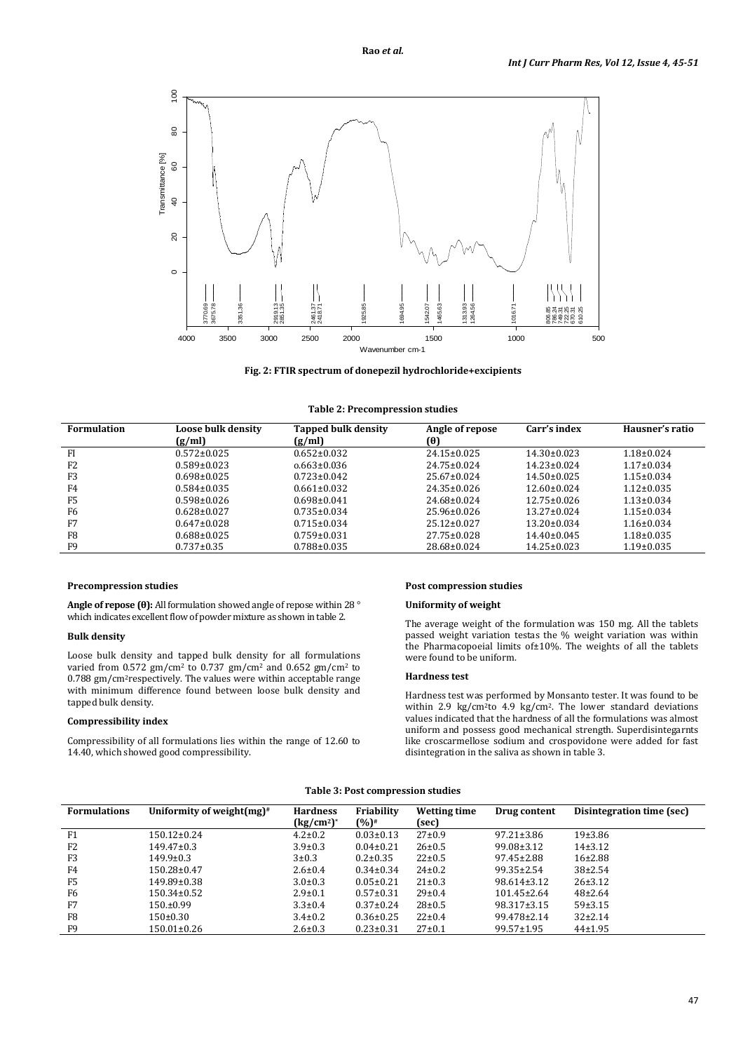

**Fig. 2: FTIR spectrum of donepezil hydrochloride+excipients** 

| <b>Formulation</b> | <b>Loose bulk density</b><br>(g/ml) | <b>Tapped bulk density</b><br>(g/ml) | Angle of repose<br>(0) | Carr's index      | Hausner's ratio  |
|--------------------|-------------------------------------|--------------------------------------|------------------------|-------------------|------------------|
| FI                 | $0.572 \pm 0.025$                   | $0.652 \pm 0.032$                    | $24.15 \pm 0.025$      | $14.30 \pm 0.023$ | $1.18 \pm 0.024$ |
| F <sub>2</sub>     | $0.589 \pm 0.023$                   | $0.663\pm0.036$                      | $24.75 \pm 0.024$      | $14.23 \pm 0.024$ | $1.17 \pm 0.034$ |
| F <sub>3</sub>     | $0.698 \pm 0.025$                   | $0.723 \pm 0.042$                    | $25.67 \pm 0.024$      | $14.50 \pm 0.025$ | $1.15 \pm 0.034$ |
| F4                 | $0.584 \pm 0.035$                   | $0.661 \pm 0.032$                    | $24.35 \pm 0.026$      | $12.60 \pm 0.024$ | $1.12 \pm 0.035$ |
| F <sub>5</sub>     | $0.598 \pm 0.026$                   | $0.698 \pm 0.041$                    | $24.68 \pm 0.024$      | $12.75 \pm 0.026$ | $1.13 \pm 0.034$ |
| F6                 | $0.628 \pm 0.027$                   | $0.735 \pm 0.034$                    | $25.96 \pm 0.026$      | $13.27 \pm 0.024$ | $1.15 \pm 0.034$ |
| F7                 | $0.647 \pm 0.028$                   | $0.715 \pm 0.034$                    | $25.12 \pm 0.027$      | $13.20 \pm 0.034$ | $1.16 \pm 0.034$ |
| F <sub>8</sub>     | $0.688 \pm 0.025$                   | $0.759 \pm 0.031$                    | $27.75 \pm 0.028$      | $14.40 \pm 0.045$ | $1.18 \pm 0.035$ |
| F <sub>9</sub>     | $0.737 \pm 0.35$                    | $0.788 \pm 0.035$                    | 28.68±0.024            | $14.25 \pm 0.023$ | $1.19 \pm 0.035$ |

# **Precompression studies**

**Angle of repose (θ):** All formulation showed angle of repose within 28 ° which indicates excellent flow of powder mixture as shown in table 2.

# **Bulk density**

Loose bulk density and tapped bulk density for all formulations varied from  $0.572$  gm/cm<sup>2</sup> to  $0.737$  gm/cm<sup>2</sup> and  $0.652$  gm/cm<sup>2</sup> to 0.788 gm/cm<sup>2</sup>respectively. The values were within acceptable range with minimum difference found between loose bulk density and tapped bulk density.

# **Compressibility index**

Compressibility of all formulations lies within the range of 12.60 to 14.40, which showed good compressibility.

### **Post compression studies**

### **Uniformity of weight**

The average weight of the formulation was 150 mg. All the tablets passed weight variation testas the % weight variation was within the Pharmacopoeial limits of±10%. The weights of all the tablets were found to be uniform.

# **Hardness test**

Hardness test was performed by Monsanto tester. It was found to be within 2.9 kg/cm<sup>2</sup>to 4.9 kg/cm<sup>2</sup>. The lower standard deviations values indicated that the hardness of all the formulations was almost uniform and possess good mechanical strength. Superdisintegarnts like croscarmellose sodium and crospovidone were added for fast disintegration in the saliva as shown in table 3.

### **Table 3: Post compression studies**

| <b>Formulations</b> | Uniformity of weight $(mg)^*$ | <b>Hardness</b> | Friability      | Wetting time | Drug content      | Disintegration time (sec) |
|---------------------|-------------------------------|-----------------|-----------------|--------------|-------------------|---------------------------|
|                     |                               | $(kg/cm2)*$     | $(%)^*$         | (sec)        |                   |                           |
| F1                  | $150.12 \pm 0.24$             | $4.2 \pm 0.2$   | $0.03 \pm 0.13$ | $27 \pm 0.9$ | $97.21 \pm 3.86$  | 19±3.86                   |
| F <sub>2</sub>      | $149.47 \pm 0.3$              | $3.9 \pm 0.3$   | $0.04 \pm 0.21$ | $26 \pm 0.5$ | $99.08 \pm 3.12$  | $14\pm3.12$               |
| F <sub>3</sub>      | $149.9 \pm 0.3$               | $3 + 0.3$       | $0.2 \pm 0.35$  | $22 \pm 0.5$ | $97.45 \pm 2.88$  | $16+2.88$                 |
| F4                  | 150.28±0.47                   | $2.6 \pm 0.4$   | $0.34 \pm 0.34$ | $24 \pm 0.2$ | $99.35 \pm 2.54$  | $38\pm2.54$               |
| F <sub>5</sub>      | 149.89±0.38                   | $3.0 \pm 0.3$   | $0.05 \pm 0.21$ | $21 \pm 0.3$ | 98.614±3.12       | $26 \pm 3.12$             |
| F6                  | 150.34±0.52                   | $2.9 \pm 0.1$   | $0.57 \pm 0.31$ | $29 \pm 0.4$ | $101.45 \pm 2.64$ | $48\pm2.64$               |
| F7                  | $150.+199$                    | $3.3 \pm 0.4$   | $0.37 \pm 0.24$ | $28 + 0.5$   | 98.317±3.15       | 59±3.15                   |
| F <sub>8</sub>      | $150\pm0.30$                  | $3.4 \pm 0.2$   | $0.36 \pm 0.25$ | $22 \pm 0.4$ | 99.478±2.14       | $32\pm2.14$               |
| F <sub>9</sub>      | $150.01 \pm 0.26$             | $2.6 \pm 0.3$   | $0.23 \pm 0.31$ | $27 \pm 0.1$ | $99.57 \pm 1.95$  | $44 \pm 1.95$             |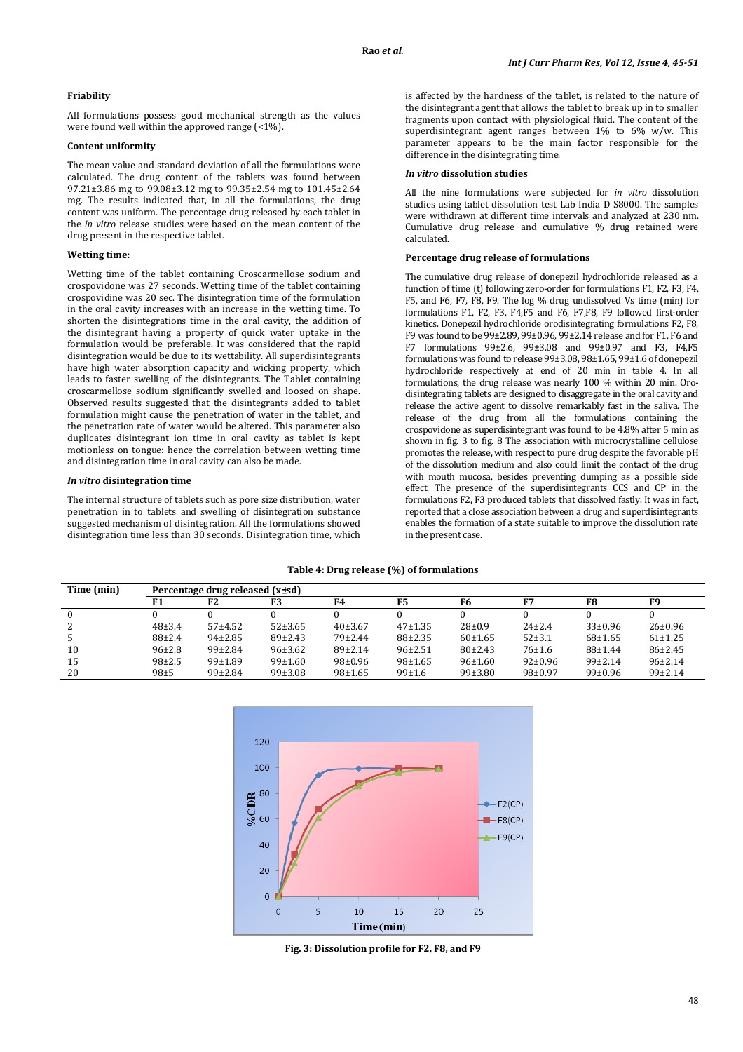# **Friability**

All formulations possess good mechanical strength as the values were found well within the approved range (<1%).

# **Content uniformity**

The mean value and standard deviation of all the formulations were calculated. The drug content of the tablets was found between 97.21±3.86 mg to 99.08±3.12 mg to 99.35±2.54 mg to 101.45±2.64 mg. The results indicated that, in all the formulations, the drug content was uniform. The percentage drug released by each tablet in the *in vitro* release studies were based on the mean content of the drug present in the respective tablet.

# **Wetting time:**

Wetting time of the tablet containing Croscarmellose sodium and crospovidone was 27 seconds. Wetting time of the tablet containing crospovidine was 20 sec. The disintegration time of the formulation in the oral cavity increases with an increase in the wetting time. To shorten the disintegrations time in the oral cavity, the addition of the disintegrant having a property of quick water uptake in the formulation would be preferable. It was considered that the rapid disintegration would be due to its wettability. All superdisintegrants have high water absorption capacity and wicking property, which leads to faster swelling of the disintegrants. The Tablet containing croscarmellose sodium significantly swelled and loosed on shape. Observed results suggested that the disintegrants added to tablet formulation might cause the penetration of water in the tablet, and the penetration rate of water would be altered. This parameter also duplicates disintegrant ion time in oral cavity as tablet is kept motionless on tongue: hence the correlation between wetting time and disintegration time in oral cavity can also be made.

# *In vitro* **disintegration time**

The internal structure of tablets such as pore size distribution, water penetration in to tablets and swelling of disintegration substance suggested mechanism of disintegration. All the formulations showed disintegration time less than 30 seconds. Disintegration time, which is affected by the hardness of the tablet, is related to the nature of the disintegrant agent that allows the tablet to break up in to smaller fragments upon contact with physiological fluid. The content of the superdisintegrant agent ranges between 1% to 6% w/w. This parameter appears to be the main factor responsible for the difference in the disintegrating time.

## *In vitro* **dissolution studies**

All the nine formulations were subjected for *in vitro* dissolution studies using tablet dissolution test Lab India D S8000. The samples were withdrawn at different time intervals and analyzed at 230 nm. Cumulative drug release and cumulative % drug retained were calculated.

### **Percentage drug release of formulations**

The cumulative drug release of donepezil hydrochloride released as a function of time (t) following zero-order for formulations F1, F2, F3, F4, F5, and F6, F7, F8, F9. The log % drug undissolved Vs time (min) for formulations F1, F2, F3, F4,F5 and F6, F7,F8, F9 followed first-order kinetics. Donepezil hydrochloride orodisintegrating formulations F2, F8, F9 was found to be 99±2.89, 99±0.96, 99±2.14 release and for F1, F6 and F7 formulations 99±2.6, 99±3.08 and 99±0.97 and F3, F4,F5 formulations was found to release 99±3.08, 98±1.65, 99±1.6 of donepezil hydrochloride respectively at end of 20 min in table 4. In all formulations, the drug release was nearly 100 % within 20 min. Orodisintegrating tablets are designed to disaggregate in the oral cavity and release the active agent to dissolve remarkably fast in the saliva. The release of the drug from all the formulations containing the crospovidone as superdisintegrant was found to be 4.8% after 5 min as shown in fig. 3 to fig. 8 The association with microcrystalline cellulose promotes the release, with respect to pure drug despite the favorable pH of the dissolution medium and also could limit the contact of the drug with mouth mucosa, besides preventing dumping as a possible side effect. The presence of the superdisintegrants CCS and CP in the formulations F2, F3 produced tablets that dissolved fastly. It was in fact, reported that a close association between a drug and superdisintegrants enables the formation of a state suitable to improve the dissolution rate in the present case.

# **Table 4: Drug release (%) of formulations**

| Time (min) | Percentage drug released (x+sd) |               |             |               |               |              |               |               |               |
|------------|---------------------------------|---------------|-------------|---------------|---------------|--------------|---------------|---------------|---------------|
|            |                                 | F2            | F3          | F4            | F5            | F6           | F7            | F8            | F9            |
|            |                                 |               |             |               |               |              |               |               |               |
|            | 48±3.4                          | $57 + 4.52$   | $52\pm3.65$ | 40±3.67       | $47+1.35$     | $28 \pm 0.9$ | $24\pm 2.4$   | $33 \pm 0.96$ | $26 \pm 0.96$ |
|            | $88+2.4$                        | $94\pm2.85$   | $89+2.43$   | 79±2.44       | $88 \pm 2.35$ | $60+1.65$    | $52+3.1$      | $68+1.65$     | $61 \pm 1.25$ |
| 10         | $96 \pm 2.8$                    | $99\pm2.84$   | 96±3.62     | 89±2.14       | $96 \pm 2.51$ | 80±2.43      | $76 + 1.6$    | $88 + 1.44$   | $86 \pm 2.45$ |
| 15         | $98+2.5$                        | 99±1.89       | 99±1.60     | $98 \pm 0.96$ | $98 \pm 1.65$ | 96±1.60      | $92 \pm 0.96$ | $99\pm2.14$   | $96 \pm 2.14$ |
| 20         | $98 + 5$                        | $99 \pm 2.84$ | 99±3.08     | 98±1.65       | 99±1.6        | 99±3.80      | $98 \pm 0.97$ | $99 \pm 0.96$ | $99 \pm 2.14$ |



**Fig. 3: Dissolution profile for F2, F8, and F9**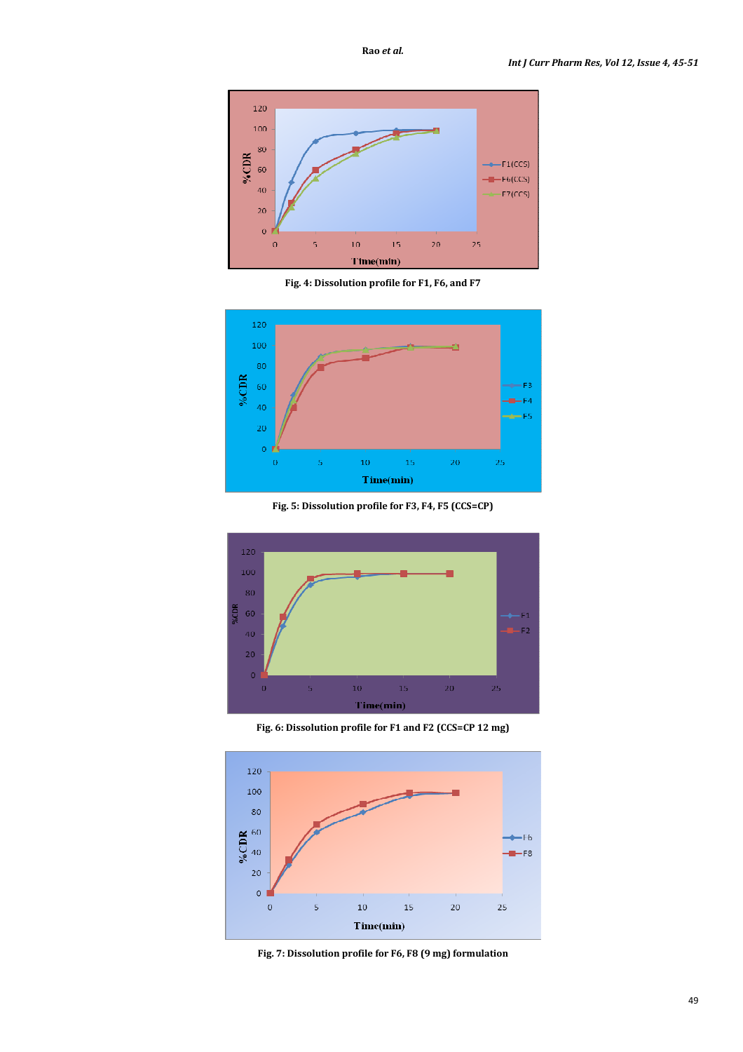

**Fig. 4: Dissolution profile for F1, F6, and F7** 



**Fig. 5: Dissolution profile for F3, F4, F5 (CCS=CP)** 



**Fig. 6: Dissolution profile for F1 and F2 (CCS=CP 12 mg)**



**Fig. 7: Dissolution profile for F6, F8 (9 mg) formulation**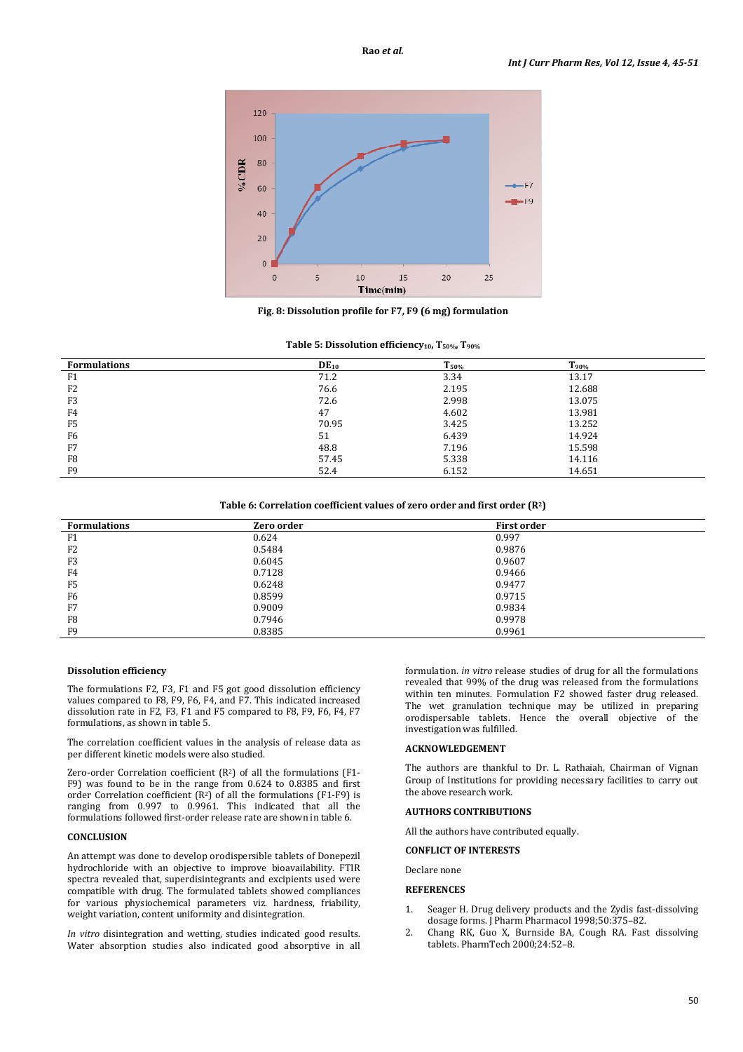

**Fig. 8: Dissolution profile for F7, F9 (6 mg) formulation** 

|  |  | Table 5: Dissolution efficiency <sub>10</sub> , T <sub>50%</sub> , T <sub>90%</sub> |  |  |
|--|--|-------------------------------------------------------------------------------------|--|--|
|--|--|-------------------------------------------------------------------------------------|--|--|

| <b>Formulations</b> | $DE_{10}$ | $T_{50\%}$ | $T_{90\%}$ |
|---------------------|-----------|------------|------------|
| F1                  | 71.2      | 3.34       | 13.17      |
| F <sub>2</sub>      | 76.6      | 2.195      | 12.688     |
| F <sub>3</sub>      | 72.6      | 2.998      | 13.075     |
| F4                  | 47        | 4.602      | 13.981     |
| F <sub>5</sub>      | 70.95     | 3.425      | 13.252     |
| F <sub>6</sub>      | 51        | 6.439      | 14.924     |
| F7                  | 48.8      | 7.196      | 15.598     |
| F <sub>8</sub>      | 57.45     | 5.338      | 14.116     |
| F <sub>9</sub>      | 52.4      | 6.152      | 14.651     |

# **Table 6: Correlation coefficient values of zero order and first order (R2)**

| <b>Formulations</b> | Zero order | <b>First order</b> |
|---------------------|------------|--------------------|
| F1                  | 0.624      | 0.997              |
| F <sub>2</sub>      | 0.5484     | 0.9876             |
| F3                  | 0.6045     | 0.9607             |
| F <sub>4</sub>      | 0.7128     | 0.9466             |
| F <sub>5</sub>      | 0.6248     | 0.9477             |
| F <sub>6</sub>      | 0.8599     | 0.9715             |
| F7                  | 0.9009     | 0.9834             |
| F <sub>8</sub>      | 0.7946     | 0.9978             |
| F9                  | 0.8385     | 0.9961             |

### **Dissolution efficiency**

The formulations F2, F3, F1 and F5 got good dissolution efficiency values compared to F8, F9, F6, F4, and F7. This indicated increased dissolution rate in F2, F3, F1 and F5 compared to F8, F9, F6, F4, F7 formulations, as shown in table 5.

The correlation coefficient values in the analysis of release data as per different kinetic models were also studied.

Zero-order Correlation coefficient  $(R^2)$  of all the formulations  $(F1 -$ F9) was found to be in the range from 0.624 to 0.8385 and first order Correlation coefficient  $(R^2)$  of all the formulations  $(F1-F9)$  is ranging from 0.997 to 0.9961. This indicated that all the formulations followed first-order release rate are shown in table 6.

# **CONCLUSION**

An attempt was done to develop orodispersible tablets of Donepezil hydrochloride with an objective to improve bioavailability. FTIR spectra revealed that, superdisintegrants and excipients used were compatible with drug. The formulated tablets showed compliances for various physiochemical parameters viz. hardness, friability, weight variation, content uniformity and disintegration.

*In vitro* disintegration and wetting, studies indicated good results. Water absorption studies also indicated good absorptive in all formulation. *in vitro* release studies of drug for all the formulations revealed that 99% of the drug was released from the formulations within ten minutes. Formulation F2 showed faster drug released. The wet granulation technique may be utilized in preparing orodispersable tablets. Hence the overall objective of the investigation was fulfilled.

# **ACKNOWLEDGEMENT**

The authors are thankful to Dr. L. Rathaiah, Chairman of Vignan Group of Institutions for providing necessary facilities to carry out the above research work.

# **AUTHORS CONTRIBUTIONS**

All the authors have contributed equally.

# **CONFLICT OF INTERESTS**

Declare none

### **REFERENCES**

- 1. Seager H. Drug delivery products and the Zydis fast-dissolving dosage forms. J Pharm Pharmacol 1998;50:375–82.
- 2. Chang RK, Guo X, Burnside BA, Cough RA. Fast dissolving tablets. PharmTech 2000;24:52–8.